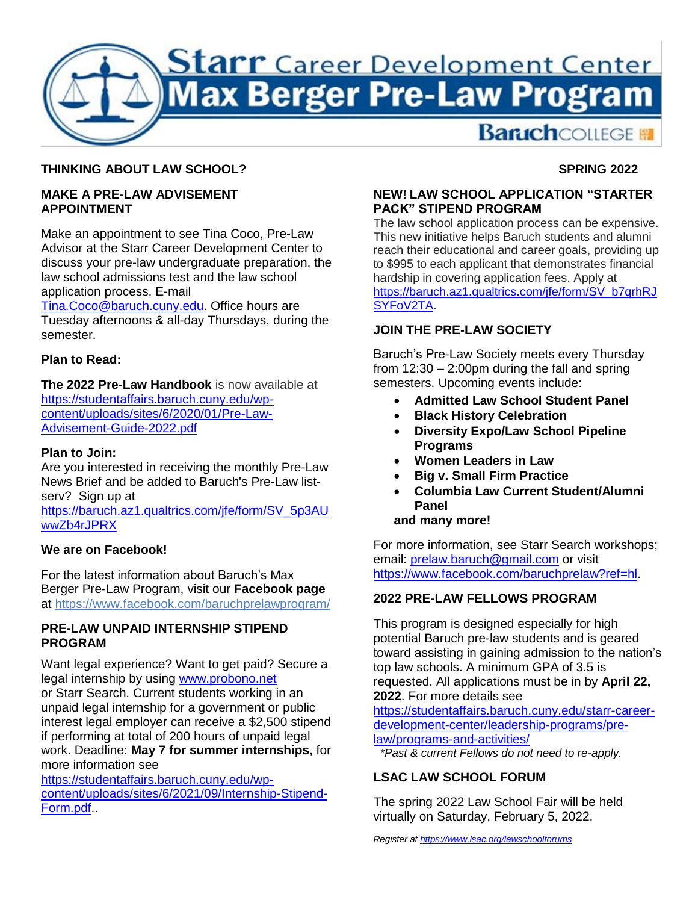

## **THINKING ABOUT LAW SCHOOL?**

#### **MAKE A PRE-LAW ADVISEMENT APPOINTMENT**

Make an appointment to see Tina Coco, Pre-Law Advisor at the Starr Career Development Center to discuss your pre-law undergraduate preparation, the law school admissions test and the law school application process. E-mail

[Tina.Coco@baruch.cuny.edu.](mailto:Tina.Coco@baruch.cuny.edu) Office hours are Tuesday afternoons & all-day Thursdays, during the semester.

### **Plan to Read:**

**The 2022 Pre-Law Handbook** is now available at https://studentaffairs.baruch.cuny.edu/wpcontent/uploads/sites/6/2020/01/Pre-Law-Advisement-Guide-2022.pdf

#### **Plan to Join:**

Are you interested in receiving the monthly Pre-Law News Brief and be added to Baruch's Pre-Law listserv? Sign up at

https://baruch.az1.qualtrics.com/jfe/form/SV\_5p3AU wwZb4rJPRX

#### **We are on Facebook!**

For the latest information about Baruch's Max Berger Pre-Law Program, visit our **Facebook page**  at<https://www.facebook.com/baruchprelawprogram/>

## **PRE-LAW UNPAID INTERNSHIP STIPEND PROGRAM**

Want legal experience? Want to get paid? Secure a legal internship by using [www.probono.net](http://www.probono.net/) or Starr Search. Current students working in an unpaid legal internship for a government or public interest legal employer can receive a \$2,500 stipend if performing at total of 200 hours of unpaid legal work. Deadline: **May 7 for summer internships**, for more information see

[https://studentaffairs.baruch.cuny.edu/wp](https://studentaffairs.baruch.cuny.edu/wp-content/uploads/sites/6/2021/09/Internship-Stipend-Form.pdf)[content/uploads/sites/6/2021/09/Internship-Stipend-](https://studentaffairs.baruch.cuny.edu/wp-content/uploads/sites/6/2021/09/Internship-Stipend-Form.pdf)[Form.pdf.](https://studentaffairs.baruch.cuny.edu/wp-content/uploads/sites/6/2021/09/Internship-Stipend-Form.pdf).

## **SPRING 2022**

### **NEW! LAW SCHOOL APPLICATION "STARTER PACK" STIPEND PROGRAM**

The law school application process can be expensive. This new initiative helps Baruch students and alumni reach their educational and career goals, providing up to \$995 to each applicant that demonstrates financial hardship in covering application fees. Apply at [https://baruch.az1.qualtrics.com/jfe/form/SV\\_b7qrhRJ](https://baruch.az1.qualtrics.com/jfe/form/SV_b7qrhRJSYFoV2TA) [SYFoV2TA.](https://baruch.az1.qualtrics.com/jfe/form/SV_b7qrhRJSYFoV2TA)

## **JOIN THE PRE-LAW SOCIETY**

Baruch's Pre-Law Society meets every Thursday from 12:30 – 2:00pm during the fall and spring semesters. Upcoming events include:

- **Admitted Law School Student Panel**
- **Black History Celebration**
- **Diversity Expo/Law School Pipeline Programs**
- **Women Leaders in Law**
- **Big v. Small Firm Practice**
- **Columbia Law Current Student/Alumni Panel**

## **and many more!**

For more information, see Starr Search workshops; email: [prelaw.baruch@gmail.com](mailto:prelaw.baruch@gmail.com) or visit [https://www.facebook.com/baruchprelaw?ref=hl.](https://www.facebook.com/baruchprelaw?ref=hl)

# **2022 PRE-LAW FELLOWS PROGRAM**

This program is designed especially for high potential Baruch pre-law students and is geared toward assisting in gaining admission to the nation's top law schools. A minimum GPA of 3.5 is requested. All applications must be in by **April 22, 2022**. For more details see

[https://studentaffairs.baruch.cuny.edu/starr-career](https://studentaffairs.baruch.cuny.edu/starr-career-development-center/leadership-programs/pre-law/programs-and-activities/)[development-center/leadership-programs/pre](https://studentaffairs.baruch.cuny.edu/starr-career-development-center/leadership-programs/pre-law/programs-and-activities/)[law/programs-and-activities/](https://studentaffairs.baruch.cuny.edu/starr-career-development-center/leadership-programs/pre-law/programs-and-activities/)

*\*Past & current Fellows do not need to re-apply.*

## **LSAC LAW SCHOOL FORUM**

The spring 2022 Law School Fair will be held virtually on Saturday, February 5, 2022.

*Register a[t https://www.lsac.org/lawschoolforums](https://www.lsac.org/lawschoolforums)*